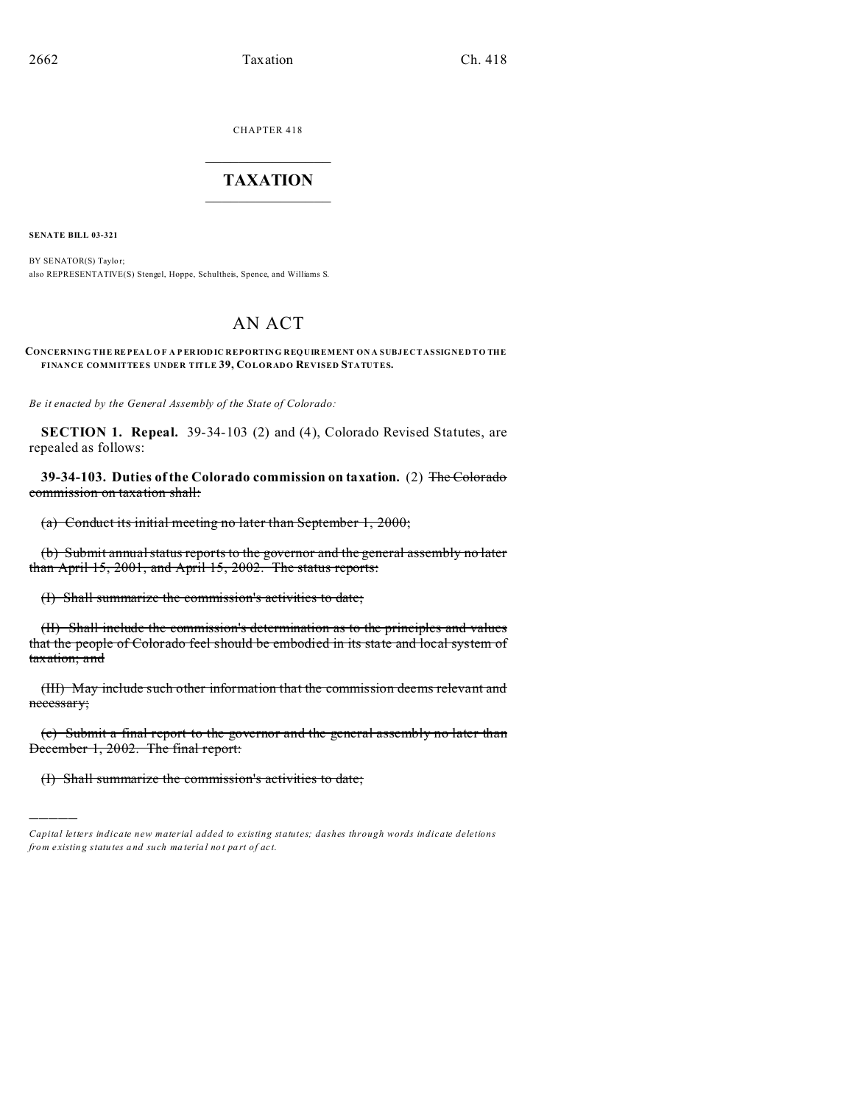CHAPTER 418  $\overline{\phantom{a}}$  , where  $\overline{\phantom{a}}$ 

## **TAXATION**  $\_$

**SENATE BILL 03-321**

)))))

BY SENATOR(S) Taylor; also REPRESENTATIVE(S) Stengel, Hoppe, Schultheis, Spence, and Williams S.

## AN ACT

## **CONCERNING THE REPEA L O F A P ER IOD IC REPORTING REQUIREMENT ON A SUBJECT ASSIGNED TO THE FINANCE COMMITTEES UNDER TITLE 39, COLORADO REVISED STATUTES.**

*Be it enacted by the General Assembly of the State of Colorado:*

**SECTION 1. Repeal.** 39-34-103 (2) and (4), Colorado Revised Statutes, are repealed as follows:

**39-34-103. Duties of the Colorado commission on taxation.** (2) The Colorado commission on taxation shall:

(a) Conduct its initial meeting no later than September 1, 2000;

(b) Submit annual status reports to the governor and the general assembly no later than April 15, 2001, and April 15, 2002. The status reports:

(I) Shall summarize the commission's activities to date;

(II) Shall include the commission's determination as to the principles and values that the people of Colorado feel should be embodied in its state and local system of taxation; and

(III) May include such other information that the commission deems relevant and necessary;

(c) Submit a final report to the governor and the general assembly no later than December 1, 2002. The final report:

(I) Shall summarize the commission's activities to date;

*Capital letters indicate new material added to existing statutes; dashes through words indicate deletions from e xistin g statu tes a nd such ma teria l no t pa rt of ac t.*